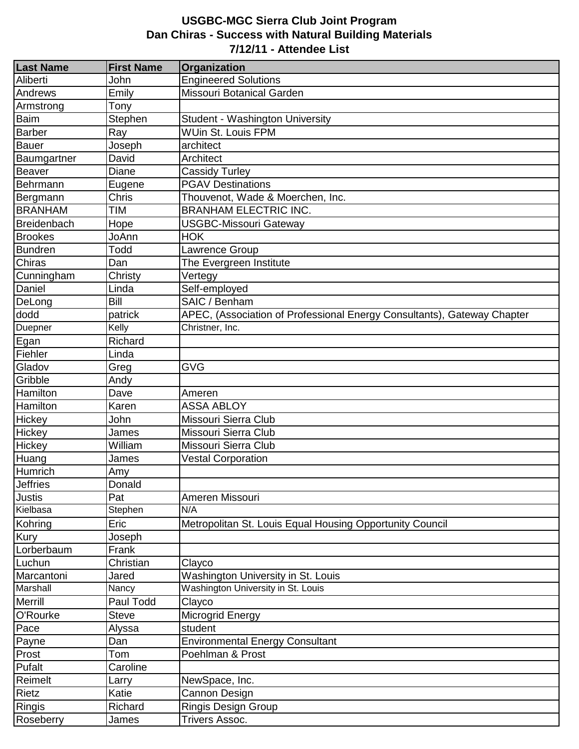## **USGBC-MGC Sierra Club Joint Program Dan Chiras - Success with Natural Building Materials 7/12/11 - Attendee List**

| <b>Last Name</b>   | <b>First Name</b> | Organization                                                            |
|--------------------|-------------------|-------------------------------------------------------------------------|
| Aliberti           | John              | <b>Engineered Solutions</b>                                             |
| Andrews            | Emily             | Missouri Botanical Garden                                               |
| Armstrong          | Tony              |                                                                         |
| Baim               | Stephen           | Student - Washington University                                         |
| <b>Barber</b>      | Ray               | <b>WUin St. Louis FPM</b>                                               |
| <b>Bauer</b>       | Joseph            | architect                                                               |
| Baumgartner        | David             | Architect                                                               |
| Beaver             | Diane             | Cassidy Turley                                                          |
| Behrmann           | Eugene            | <b>PGAV Destinations</b>                                                |
| Bergmann           | Chris             | Thouvenot, Wade & Moerchen, Inc.                                        |
| <b>BRANHAM</b>     | <b>TIM</b>        | <b>BRANHAM ELECTRIC INC.</b>                                            |
| <b>Breidenbach</b> | Hope              | <b>USGBC-Missouri Gateway</b>                                           |
| <b>Brookes</b>     | JoAnn             | <b>HOK</b>                                                              |
| <b>Bundren</b>     | Todd              | Lawrence Group                                                          |
| Chiras             | Dan               | The Evergreen Institute                                                 |
| Cunningham         | Christy           | Vertegy                                                                 |
| Daniel             | Linda             | Self-employed                                                           |
| DeLong             | <b>Bill</b>       | SAIC / Benham                                                           |
| dodd               | patrick           | APEC, (Association of Professional Energy Consultants), Gateway Chapter |
| Duepner            | Kelly             | Christner, Inc.                                                         |
| Egan               | Richard           |                                                                         |
| Fiehler            | Linda             |                                                                         |
| Gladov             | Greg              | <b>GVG</b>                                                              |
| Gribble            | Andy              |                                                                         |
| Hamilton           | Dave              | Ameren                                                                  |
| Hamilton           | Karen             | <b>ASSA ABLOY</b>                                                       |
| Hickey             | John              | Missouri Sierra Club                                                    |
| Hickey             | James             | Missouri Sierra Club                                                    |
| Hickey             | William           | Missouri Sierra Club                                                    |
| Huang              | James             | <b>Vestal Corporation</b>                                               |
| Humrich            | Amy               |                                                                         |
| <b>Jeffries</b>    | Donald            |                                                                         |
| Justis             | Pat               | Ameren Missouri                                                         |
| Kielbasa           | Stephen           | N/A                                                                     |
| Kohring            | Eric              | Metropolitan St. Louis Equal Housing Opportunity Council                |
| Kury               | Joseph            |                                                                         |
| Lorberbaum         | Frank             |                                                                         |
| Luchun             | Christian         | Clayco                                                                  |
| Marcantoni         | Jared             | Washington University in St. Louis                                      |
| Marshall           | Nancy             | Washington University in St. Louis                                      |
| Merrill            | Paul Todd         | Clayco                                                                  |
| O'Rourke           | <b>Steve</b>      | Microgrid Energy                                                        |
| Pace               | Alyssa            | student                                                                 |
| Payne              | Dan               | <b>Environmental Energy Consultant</b>                                  |
| Prost              | Tom               | Poehlman & Prost                                                        |
| Pufalt             | Caroline          |                                                                         |
| Reimelt            | Larry             | NewSpace, Inc.                                                          |
| Rietz              | Katie             | Cannon Design                                                           |
| Ringis             | Richard           | <b>Ringis Design Group</b>                                              |
| Roseberry          | James             | Trivers Assoc.                                                          |